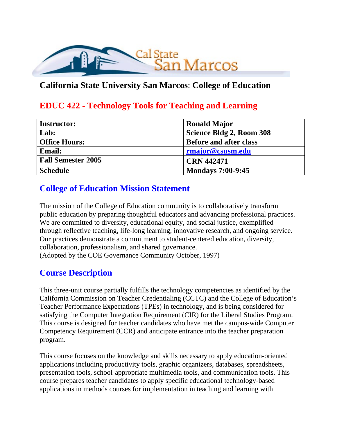

## **California State University San Marcos**: **College of Education**

## **EDUC 422 - Technology Tools for Teaching and Learning**

| <b>Instructor:</b>        | <b>Ronald Major</b>           |
|---------------------------|-------------------------------|
| Lab:                      | Science Bldg 2, Room 308      |
| <b>Office Hours:</b>      | <b>Before and after class</b> |
| <b>Email:</b>             | rmajor@csusm.edu              |
| <b>Fall Semester 2005</b> | <b>CRN 442471</b>             |
| <b>Schedule</b>           | <b>Mondays 7:00-9:45</b>      |

## **College of Education Mission Statement**

The mission of the College of Education community is to collaboratively transform public education by preparing thoughtful educators and advancing professional practices. We are committed to diversity, educational equity, and social justice, exemplified through reflective teaching, life-long learning, innovative research, and ongoing service. Our practices demonstrate a commitment to student-centered education, diversity, collaboration, professionalism, and shared governance. (Adopted by the COE Governance Community October, 1997)

## **Course Description**

This three-unit course partially fulfills the technology competencies as identified by the California Commission on Teacher Credentialing (CCTC) and the College of Education's Teacher Performance Expectations (TPEs) in technology, and is being considered for satisfying the Computer Integration Requirement (CIR) for the Liberal Studies Program. This course is designed for teacher candidates who have met the campus-wide Computer Competency Requirement (CCR) and anticipate entrance into the teacher preparation program.

This course focuses on the knowledge and skills necessary to apply education-oriented applications including productivity tools, graphic organizers, databases, spreadsheets, presentation tools, school-appropriate multimedia tools, and communication tools. This course prepares teacher candidates to apply specific educational technology-based applications in methods courses for implementation in teaching and learning with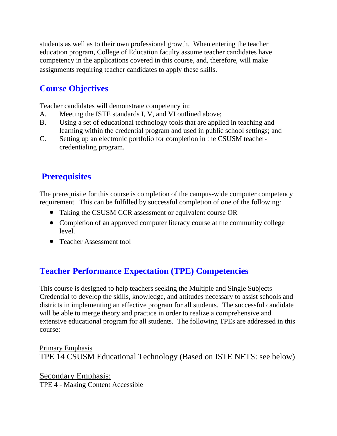students as well as to their own professional growth. When entering the teacher education program, College of Education faculty assume teacher candidates have competency in the applications covered in this course, and, therefore, will make assignments requiring teacher candidates to apply these skills.

# **Course Objectives**

Teacher candidates will demonstrate competency in:

- A. Meeting the ISTE standards I, V, and VI outlined above;
- B. Using a set of educational technology tools that are applied in teaching and learning within the credential program and used in public school settings; and
- C. Setting up an electronic portfolio for completion in the CSUSM teachercredentialing program.

# **Prerequisites**

The prerequisite for this course is completion of the campus-wide computer competency requirement. This can be fulfilled by successful completion of one of the following:

- Taking the CSUSM CCR assessment or equivalent course OR
- Completion of an approved computer literacy course at the community college level.
- Teacher Assessment tool

# **Teacher Performance Expectation (TPE) Competencies**

This course is designed to help teachers seeking the Multiple and Single Subjects Credential to develop the skills, knowledge, and attitudes necessary to assist schools and districts in implementing an effective program for all students. The successful candidate will be able to merge theory and practice in order to realize a comprehensive and extensive educational program for all students. The following TPEs are addressed in this course:

Primary Emphasis TPE 14 CSUSM Educational Technology (Based on ISTE NETS: see below)

Secondary Emphasis: TPE 4 - Making Content Accessible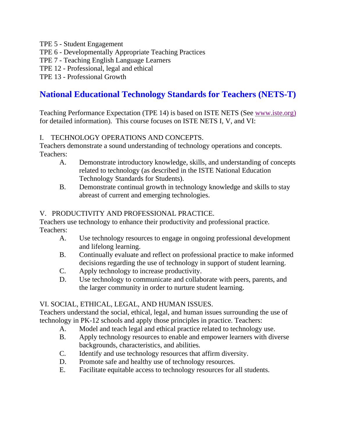- TPE 5 Student Engagement
- TPE 6 Developmentally Appropriate Teaching Practices
- TPE 7 Teaching English Language Learners
- TPE 12 Professional, legal and ethical
- TPE 13 Professional Growth

## **National Educational Technology Standards for Teachers (NETS-T)**

Teaching Performance Expectation (TPE 14) is based on ISTE NETS (See www.iste.org) for detailed information). This course focuses on ISTE NETS I, V, and VI:

#### I. TECHNOLOGY OPERATIONS AND CONCEPTS.

Teachers demonstrate a sound understanding of technology operations and concepts. Teachers:

- A. Demonstrate introductory knowledge, skills, and understanding of concepts related to technology (as described in the ISTE National Education Technology Standards for Students).
- B. Demonstrate continual growth in technology knowledge and skills to stay abreast of current and emerging technologies.

#### V. PRODUCTIVITY AND PROFESSIONAL PRACTICE.

Teachers use technology to enhance their productivity and professional practice. Teachers:

- A. Use technology resources to engage in ongoing professional development and lifelong learning.
- B. Continually evaluate and reflect on professional practice to make informed decisions regarding the use of technology in support of student learning.
- C. Apply technology to increase productivity.
- D. Use technology to communicate and collaborate with peers, parents, and the larger community in order to nurture student learning.

#### VI. SOCIAL, ETHICAL, LEGAL, AND HUMAN ISSUES.

Teachers understand the social, ethical, legal, and human issues surrounding the use of technology in PK-12 schools and apply those principles in practice. Teachers:

- A. Model and teach legal and ethical practice related to technology use.
- B. Apply technology resources to enable and empower learners with diverse backgrounds, characteristics, and abilities.
- C. Identify and use technology resources that affirm diversity.
- D. Promote safe and healthy use of technology resources.
- E. Facilitate equitable access to technology resources for all students.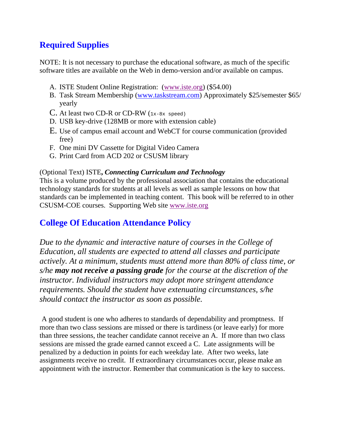# **Required Supplies**

NOTE: It is not necessary to purchase the educational software, as much of the specific software titles are available on the Web in demo-version and/or available on campus.

- A. ISTE Student Online Registration: (www.iste.org) (\$54.00)
- B. Task Stream Membership (www.taskstream.com) Approximately \$25/semester \$65/ yearly
- C. At least two CD-R or CD-RW  $(1x-8x \text{ speed})$
- D. USB key-drive (128MB or more with extension cable)
- E. Use of campus email account and WebCT for course communication (provided free)
- F. One mini DV Cassette for Digital Video Camera
- G. Print Card from ACD 202 or CSUSM library

#### (Optional Text) ISTE**,** *Connecting Curriculum and Technology*

This is a volume produced by the professional association that contains the educational technology standards for students at all levels as well as sample lessons on how that standards can be implemented in teaching content. This book will be referred to in other CSUSM-COE courses. Supporting Web site www.iste.org

## **College Of Education Attendance Policy**

*Due to the dynamic and interactive nature of courses in the College of Education, all students are expected to attend all classes and participate actively. At a minimum, students must attend more than 80% of class time, or s/he may not receive a passing grade for the course at the discretion of the instructor. Individual instructors may adopt more stringent attendance requirements. Should the student have extenuating circumstances, s/he should contact the instructor as soon as possible.*

A good student is one who adheres to standards of dependability and promptness. If more than two class sessions are missed or there is tardiness (or leave early) for more than three sessions, the teacher candidate cannot receive an A. If more than two class sessions are missed the grade earned cannot exceed a C. Late assignments will be penalized by a deduction in points for each weekday late. After two weeks, late assignments receive no credit. If extraordinary circumstances occur, please make an appointment with the instructor. Remember that communication is the key to success.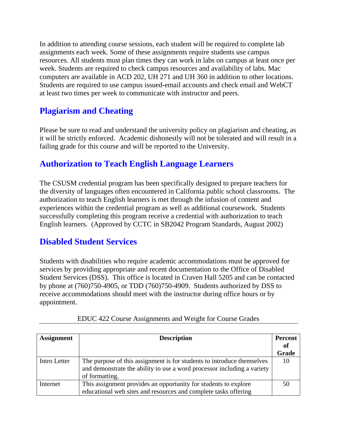In addition to attending course sessions, each student will be required to complete lab assignments each week. Some of these assignments require students use campus resources. All students must plan times they can work in labs on campus at least once per week. Students are required to check campus resources and availability of labs. Mac computers are available in ACD 202, UH 271 and UH 360 in addition to other locations. Students are required to use campus issued-email accounts and check email and WebCT at least two times per week to communicate with instructor and peers.

## **Plagiarism and Cheating**

Please be sure to read and understand the university policy on plagiarism and cheating, as it will be strictly enforced. Academic dishonestly will not be tolerated and will result in a failing grade for this course and will be reported to the University.

## **Authorization to Teach English Language Learners**

The CSUSM credential program has been specifically designed to prepare teachers for the diversity of languages often encountered in California public school classrooms. The authorization to teach English learners is met through the infusion of content and experiences within the credential program as well as additional coursework. Students successfully completing this program receive a credential with authorization to teach English learners. (Approved by CCTC in SB2042 Program Standards, August 2002)

### **Disabled Student Services**

Students with disabilities who require academic accommodations must be approved for services by providing appropriate and recent documentation to the Office of Disabled Student Services (DSS). This office is located in Craven Hall 5205 and can be contacted by phone at (760)750-4905, or TDD (760)750-4909. Students authorized by DSS to receive accommodations should meet with the instructor during office hours or by appointment.

| <b>Assignment</b> | <b>Description</b>                                                      |       |
|-------------------|-------------------------------------------------------------------------|-------|
|                   |                                                                         |       |
|                   |                                                                         | Grade |
| Intro Letter      | The purpose of this assignment is for students to introduce themselves  | 10    |
|                   | and demonstrate the ability to use a word processor including a variety |       |
|                   | of formatting.                                                          |       |
| Internet          | This assignment provides an opportunity for students to explore         | 50    |
|                   | educational web sites and resources and complete tasks offering         |       |

| EDUC 422 Course Assignments and Weight for Course Grades |  |  |  |  |
|----------------------------------------------------------|--|--|--|--|
|                                                          |  |  |  |  |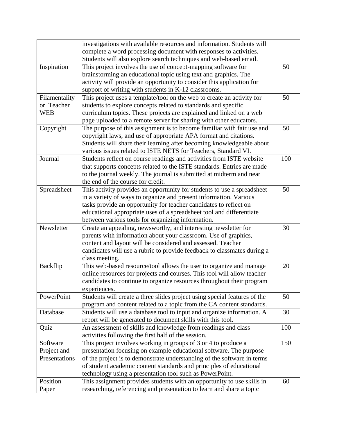|               | investigations with available resources and information. Students will    |     |
|---------------|---------------------------------------------------------------------------|-----|
|               | complete a word processing document with responses to activities.         |     |
|               | Students will also explore search techniques and web-based email.         |     |
| Inspiration   | This project involves the use of concept-mapping software for             | 50  |
|               | brainstorming an educational topic using text and graphics. The           |     |
|               | activity will provide an opportunity to consider this application for     |     |
|               | support of writing with students in K-12 classrooms.                      |     |
| Filamentality | This project uses a template/tool on the web to create an activity for    | 50  |
| or Teacher    | students to explore concepts related to standards and specific            |     |
| <b>WEB</b>    | curriculum topics. These projects are explained and linked on a web       |     |
|               |                                                                           |     |
|               | page uploaded to a remote server for sharing with other educators.        |     |
| Copyright     | The purpose of this assignment is to become familiar with fair use and    | 50  |
|               | copyright laws, and use of appropriate APA format and citations.          |     |
|               | Students will share their learning after becoming knowledgeable about     |     |
|               | various issues related to ISTE NETS for Teachers, Standard VI.            |     |
| Journal       | Students reflect on course readings and activities from ISTE website      | 100 |
|               | that supports concepts related to the ISTE standards. Entries are made    |     |
|               | to the journal weekly. The journal is submitted at midterm and near       |     |
|               | the end of the course for credit.                                         |     |
| Spreadsheet   | This activity provides an opportunity for students to use a spreadsheet   | 50  |
|               | in a variety of ways to organize and present information. Various         |     |
|               | tasks provide an opportunity for teacher candidates to reflect on         |     |
|               | educational appropriate uses of a spreadsheet tool and differentiate      |     |
|               | between various tools for organizing information.                         |     |
| Newsletter    | Create an appealing, newsworthy, and interesting newsletter for           | 30  |
|               | parents with information about your classroom. Use of graphics,           |     |
|               | content and layout will be considered and assessed. Teacher               |     |
|               | candidates will use a rubric to provide feedback to classmates during a   |     |
|               | class meeting.                                                            |     |
| Backflip      | This web-based resource/tool allows the user to organize and manage       | 20  |
|               | online resources for projects and courses. This tool will allow teacher   |     |
|               | candidates to continue to organize resources throughout their program     |     |
|               | experiences.                                                              |     |
| PowerPoint    | Students will create a three slides project using special features of the | 50  |
|               | program and content related to a topic from the CA content standards.     |     |
| Database      | Students will use a database tool to input and organize information. A    | 30  |
|               | report will be generated to document skills with this tool.               |     |
| Quiz          | An assessment of skills and knowledge from readings and class             | 100 |
|               | activities following the first half of the session.                       |     |
| Software      | This project involves working in groups of 3 or 4 to produce a            | 150 |
| Project and   | presentation focusing on example educational software. The purpose        |     |
| Presentations |                                                                           |     |
|               | of the project is to demonstrate understanding of the software in terms   |     |
|               | of student academic content standards and principles of educational       |     |
|               | technology using a presentation tool such as PowerPoint.                  |     |
| Position      | This assignment provides students with an opportunity to use skills in    | 60  |
| Paper         | researching, referencing and presentation to learn and share a topic      |     |